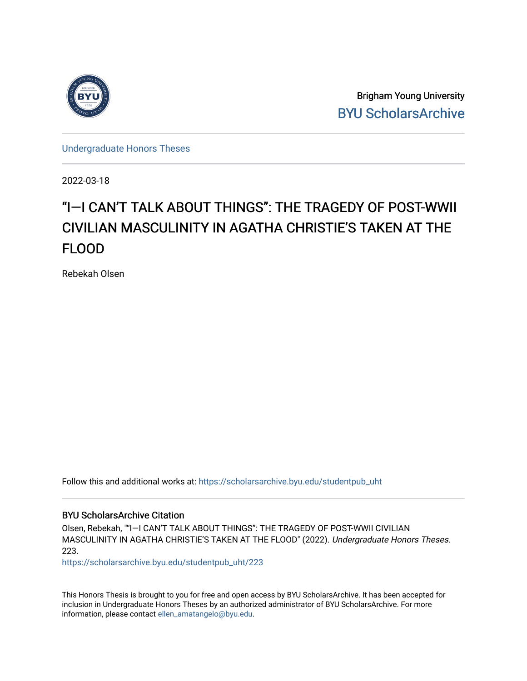

Brigham Young University [BYU ScholarsArchive](https://scholarsarchive.byu.edu/) 

[Undergraduate Honors Theses](https://scholarsarchive.byu.edu/studentpub_uht) 

2022-03-18

# "I—I CAN'T TALK ABOUT THINGS": THE TRAGEDY OF POST-WWII CIVILIAN MASCULINITY IN AGATHA CHRISTIE'S TAKEN AT THE FLOOD

Rebekah Olsen

Follow this and additional works at: [https://scholarsarchive.byu.edu/studentpub\\_uht](https://scholarsarchive.byu.edu/studentpub_uht?utm_source=scholarsarchive.byu.edu%2Fstudentpub_uht%2F223&utm_medium=PDF&utm_campaign=PDFCoverPages) 

### BYU ScholarsArchive Citation

Olsen, Rebekah, ""I—I CAN'T TALK ABOUT THINGS": THE TRAGEDY OF POST-WWII CIVILIAN MASCULINITY IN AGATHA CHRISTIE'S TAKEN AT THE FLOOD" (2022). Undergraduate Honors Theses. 223.

[https://scholarsarchive.byu.edu/studentpub\\_uht/223](https://scholarsarchive.byu.edu/studentpub_uht/223?utm_source=scholarsarchive.byu.edu%2Fstudentpub_uht%2F223&utm_medium=PDF&utm_campaign=PDFCoverPages)

This Honors Thesis is brought to you for free and open access by BYU ScholarsArchive. It has been accepted for inclusion in Undergraduate Honors Theses by an authorized administrator of BYU ScholarsArchive. For more information, please contact [ellen\\_amatangelo@byu.edu.](mailto:ellen_amatangelo@byu.edu)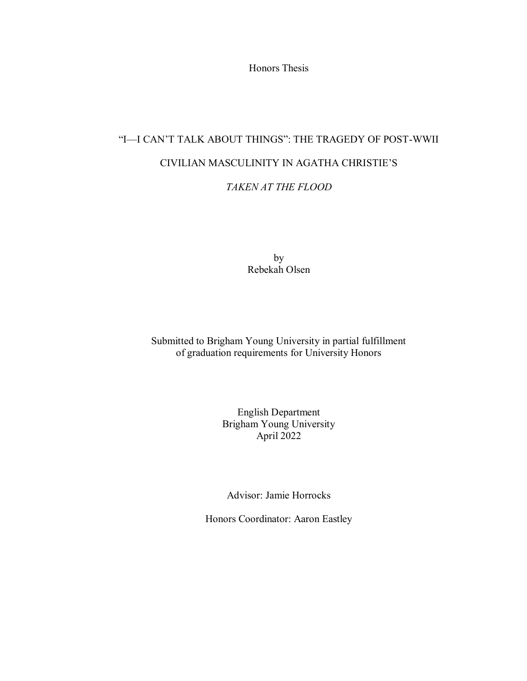Honors Thesis

# "I—I CAN'T TALK ABOUT THINGS": THE TRAGEDY OF POST-WWII CIVILIAN MASCULINITY IN AGATHA CHRISTIE'S

## *TAKEN AT THE FLOOD*

by Rebekah Olsen

Submitted to Brigham Young University in partial fulfillment of graduation requirements for University Honors

> English Department Brigham Young University April 2022

Advisor: Jamie Horrocks

Honors Coordinator: Aaron Eastley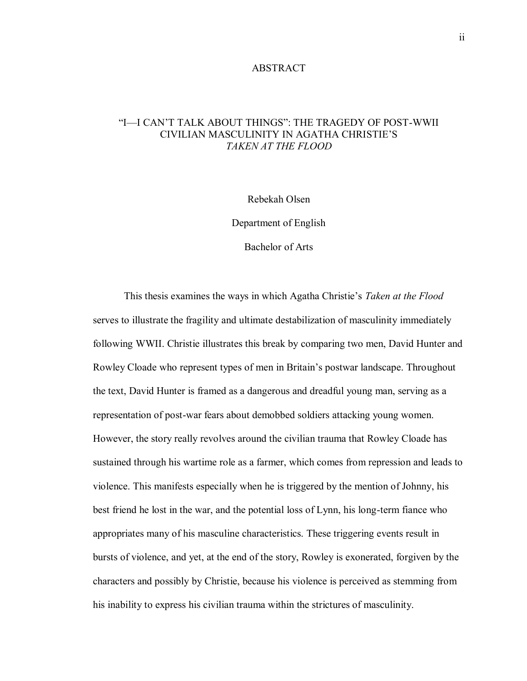### ABSTRACT

## "I—I CAN'T TALK ABOUT THINGS": THE TRAGEDY OF POST-WWII CIVILIAN MASCULINITY IN AGATHA CHRISTIE'S *TAKEN AT THE FLOOD*

Rebekah Olsen

Department of English

Bachelor of Arts

This thesis examines the ways in which Agatha Christie's *Taken at the Flood* serves to illustrate the fragility and ultimate destabilization of masculinity immediately following WWII. Christie illustrates this break by comparing two men, David Hunter and Rowley Cloade who represent types of men in Britain's postwar landscape. Throughout the text, David Hunter is framed as a dangerous and dreadful young man, serving as a representation of post-war fears about demobbed soldiers attacking young women. However, the story really revolves around the civilian trauma that Rowley Cloade has sustained through his wartime role as a farmer, which comes from repression and leads to violence. This manifests especially when he is triggered by the mention of Johnny, his best friend he lost in the war, and the potential loss of Lynn, his long-term fiance who appropriates many of his masculine characteristics. These triggering events result in bursts of violence, and yet, at the end of the story, Rowley is exonerated, forgiven by the characters and possibly by Christie, because his violence is perceived as stemming from his inability to express his civilian trauma within the strictures of masculinity.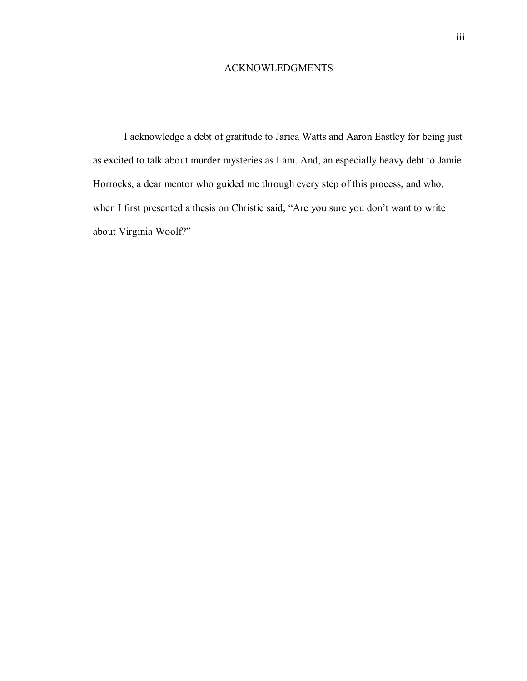### ACKNOWLEDGMENTS

I acknowledge a debt of gratitude to Jarica Watts and Aaron Eastley for being just as excited to talk about murder mysteries as I am. And, an especially heavy debt to Jamie Horrocks, a dear mentor who guided me through every step of this process, and who, when I first presented a thesis on Christie said, "Are you sure you don't want to write about Virginia Woolf?"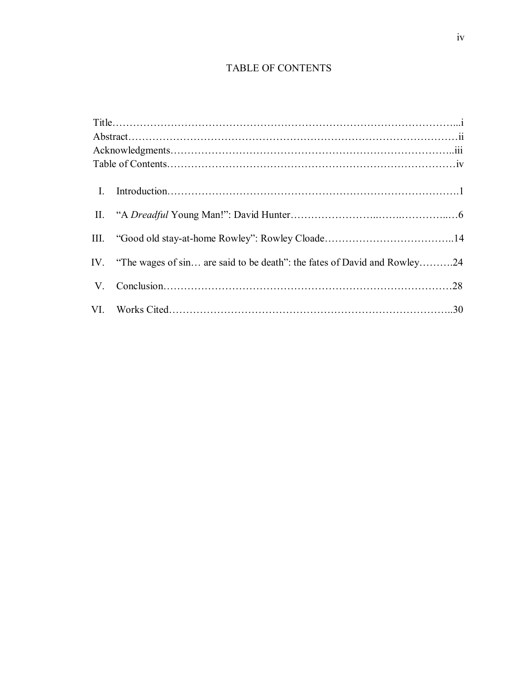# TABLE OF CONTENTS

|  | IV. "The wages of sin are said to be death": the fates of David and Rowley24 |  |
|--|------------------------------------------------------------------------------|--|
|  |                                                                              |  |
|  |                                                                              |  |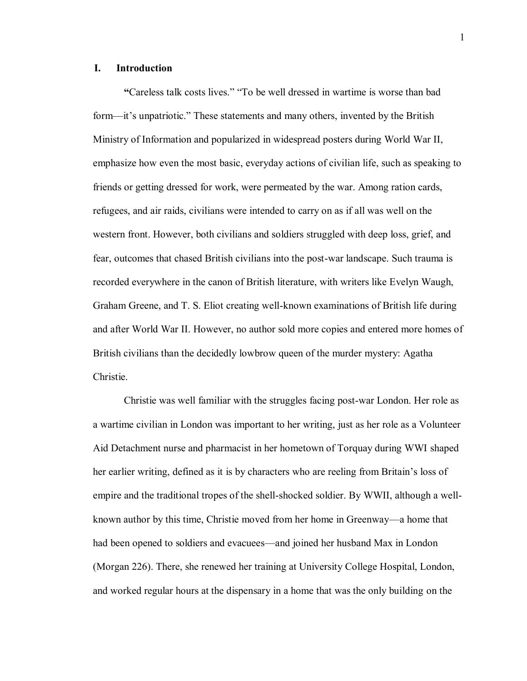### **I. Introduction**

**"**Careless talk costs lives." "To be well dressed in wartime is worse than bad form—it's unpatriotic." These statements and many others, invented by the British Ministry of Information and popularized in widespread posters during World War II, emphasize how even the most basic, everyday actions of civilian life, such as speaking to friends or getting dressed for work, were permeated by the war. Among ration cards, refugees, and air raids, civilians were intended to carry on as if all was well on the western front. However, both civilians and soldiers struggled with deep loss, grief, and fear, outcomes that chased British civilians into the post-war landscape. Such trauma is recorded everywhere in the canon of British literature, with writers like Evelyn Waugh, Graham Greene, and T. S. Eliot creating well-known examinations of British life during and after World War II. However, no author sold more copies and entered more homes of British civilians than the decidedly lowbrow queen of the murder mystery: Agatha Christie.

Christie was well familiar with the struggles facing post-war London. Her role as a wartime civilian in London was important to her writing, just as her role as a Volunteer Aid Detachment nurse and pharmacist in her hometown of Torquay during WWI shaped her earlier writing, defined as it is by characters who are reeling from Britain's loss of empire and the traditional tropes of the shell-shocked soldier. By WWII, although a wellknown author by this time, Christie moved from her home in Greenway—a home that had been opened to soldiers and evacuees—and joined her husband Max in London (Morgan 226). There, she renewed her training at University College Hospital, London, and worked regular hours at the dispensary in a home that was the only building on the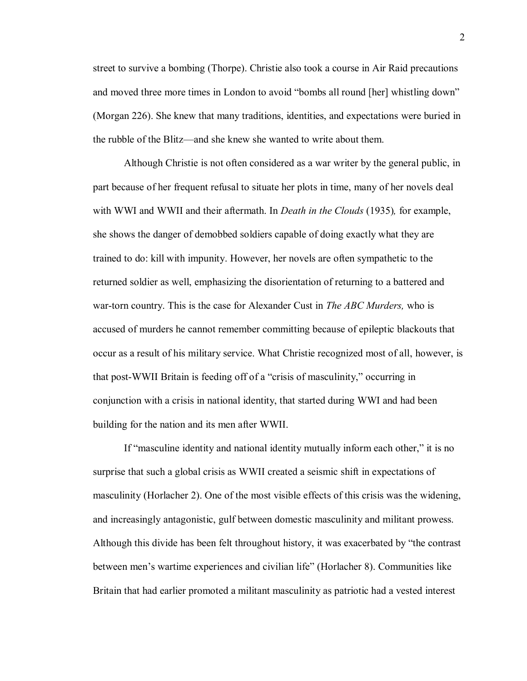street to survive a bombing (Thorpe). Christie also took a course in Air Raid precautions and moved three more times in London to avoid "bombs all round [her] whistling down" (Morgan 226). She knew that many traditions, identities, and expectations were buried in the rubble of the Blitz—and she knew she wanted to write about them.

Although Christie is not often considered as a war writer by the general public, in part because of her frequent refusal to situate her plots in time, many of her novels deal with WWI and WWII and their aftermath. In *Death in the Clouds* (1935)*,* for example, she shows the danger of demobbed soldiers capable of doing exactly what they are trained to do: kill with impunity. However, her novels are often sympathetic to the returned soldier as well, emphasizing the disorientation of returning to a battered and war-torn country. This is the case for Alexander Cust in *The ABC Murders,* who is accused of murders he cannot remember committing because of epileptic blackouts that occur as a result of his military service. What Christie recognized most of all, however, is that post-WWII Britain is feeding off of a "crisis of masculinity," occurring in conjunction with a crisis in national identity, that started during WWI and had been building for the nation and its men after WWII.

If "masculine identity and national identity mutually inform each other," it is no surprise that such a global crisis as WWII created a seismic shift in expectations of masculinity (Horlacher 2). One of the most visible effects of this crisis was the widening, and increasingly antagonistic, gulf between domestic masculinity and militant prowess. Although this divide has been felt throughout history, it was exacerbated by "the contrast between men's wartime experiences and civilian life" (Horlacher 8). Communities like Britain that had earlier promoted a militant masculinity as patriotic had a vested interest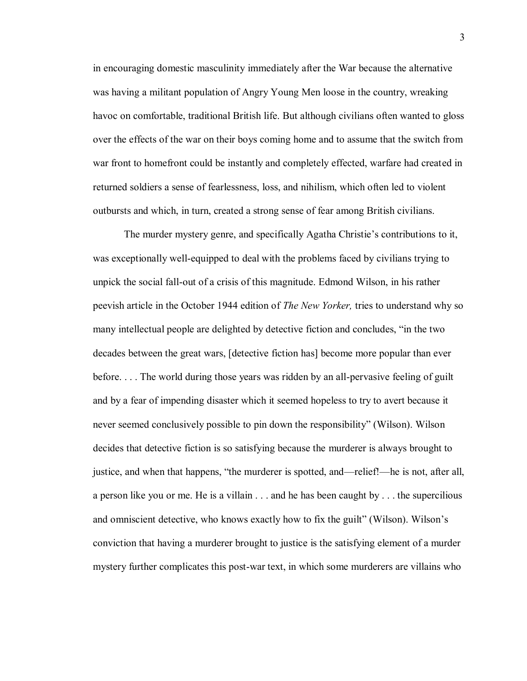in encouraging domestic masculinity immediately after the War because the alternative was having a militant population of Angry Young Men loose in the country, wreaking havoc on comfortable, traditional British life. But although civilians often wanted to gloss over the effects of the war on their boys coming home and to assume that the switch from war front to homefront could be instantly and completely effected, warfare had created in returned soldiers a sense of fearlessness, loss, and nihilism, which often led to violent outbursts and which, in turn, created a strong sense of fear among British civilians.

The murder mystery genre, and specifically Agatha Christie's contributions to it, was exceptionally well-equipped to deal with the problems faced by civilians trying to unpick the social fall-out of a crisis of this magnitude. Edmond Wilson, in his rather peevish article in the October 1944 edition of *The New Yorker,* tries to understand why so many intellectual people are delighted by detective fiction and concludes, "in the two decades between the great wars, [detective fiction has] become more popular than ever before. . . . The world during those years was ridden by an all-pervasive feeling of guilt and by a fear of impending disaster which it seemed hopeless to try to avert because it never seemed conclusively possible to pin down the responsibility" (Wilson). Wilson decides that detective fiction is so satisfying because the murderer is always brought to justice, and when that happens, "the murderer is spotted, and—relief!—he is not, after all, a person like you or me. He is a villain . . . and he has been caught by . . . the supercilious and omniscient detective, who knows exactly how to fix the guilt" (Wilson). Wilson's conviction that having a murderer brought to justice is the satisfying element of a murder mystery further complicates this post-war text, in which some murderers are villains who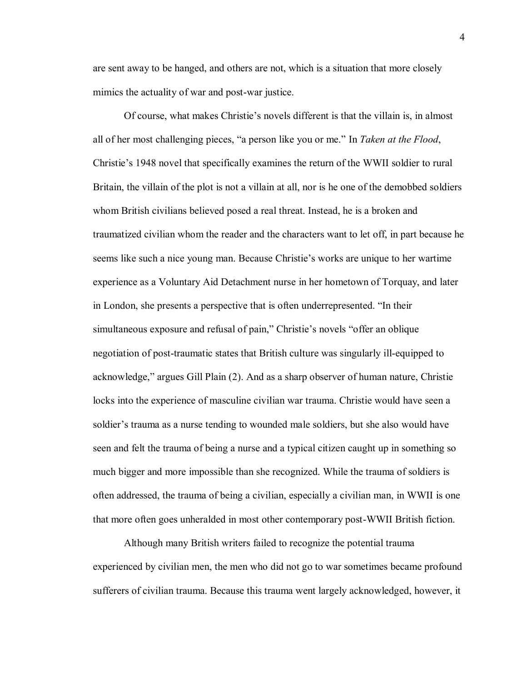are sent away to be hanged, and others are not, which is a situation that more closely mimics the actuality of war and post-war justice.

Of course, what makes Christie's novels different is that the villain is, in almost all of her most challenging pieces, "a person like you or me." In *Taken at the Flood*, Christie's 1948 novel that specifically examines the return of the WWII soldier to rural Britain, the villain of the plot is not a villain at all, nor is he one of the demobbed soldiers whom British civilians believed posed a real threat. Instead, he is a broken and traumatized civilian whom the reader and the characters want to let off, in part because he seems like such a nice young man. Because Christie's works are unique to her wartime experience as a Voluntary Aid Detachment nurse in her hometown of Torquay, and later in London, she presents a perspective that is often underrepresented. "In their simultaneous exposure and refusal of pain," Christie's novels "offer an oblique negotiation of post-traumatic states that British culture was singularly ill-equipped to acknowledge," argues Gill Plain (2). And as a sharp observer of human nature, Christie locks into the experience of masculine civilian war trauma. Christie would have seen a soldier's trauma as a nurse tending to wounded male soldiers, but she also would have seen and felt the trauma of being a nurse and a typical citizen caught up in something so much bigger and more impossible than she recognized. While the trauma of soldiers is often addressed, the trauma of being a civilian, especially a civilian man, in WWII is one that more often goes unheralded in most other contemporary post-WWII British fiction.

Although many British writers failed to recognize the potential trauma experienced by civilian men, the men who did not go to war sometimes became profound sufferers of civilian trauma. Because this trauma went largely acknowledged, however, it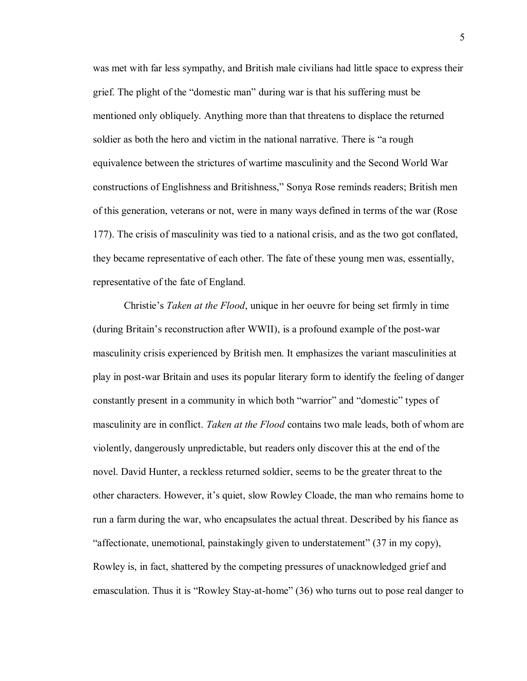was met with far less sympathy, and British male civilians had little space to express their grief. The plight of the "domestic man" during war is that his suffering must be mentioned only obliquely. Anything more than that threatens to displace the returned soldier as both the hero and victim in the national narrative. There is "a rough equivalence between the strictures of wartime masculinity and the Second World War constructions of Englishness and Britishness," Sonya Rose reminds readers; British men of this generation, veterans or not, were in many ways defined in terms of the war (Rose 177). The crisis of masculinity was tied to a national crisis, and as the two got conflated, they became representative of each other. The fate of these young men was, essentially, representative of the fate of England.

Christie's *Taken at the Flood*, unique in her oeuvre for being set firmly in time (during Britain's reconstruction after WWII), is a profound example of the post-war masculinity crisis experienced by British men. It emphasizes the variant masculinities at play in post-war Britain and uses its popular literary form to identify the feeling of danger constantly present in a community in which both "warrior" and "domestic" types of masculinity are in conflict. *Taken at the Flood* contains two male leads, both of whom are violently, dangerously unpredictable, but readers only discover this at the end of the novel. David Hunter, a reckless returned soldier, seems to be the greater threat to the other characters. However, it's quiet, slow Rowley Cloade, the man who remains home to run a farm during the war, who encapsulates the actual threat. Described by his fiance as "affectionate, unemotional, painstakingly given to understatement" (37 in my copy), Rowley is, in fact, shattered by the competing pressures of unacknowledged grief and emasculation. Thus it is "Rowley Stay-at-home" (36) who turns out to pose real danger to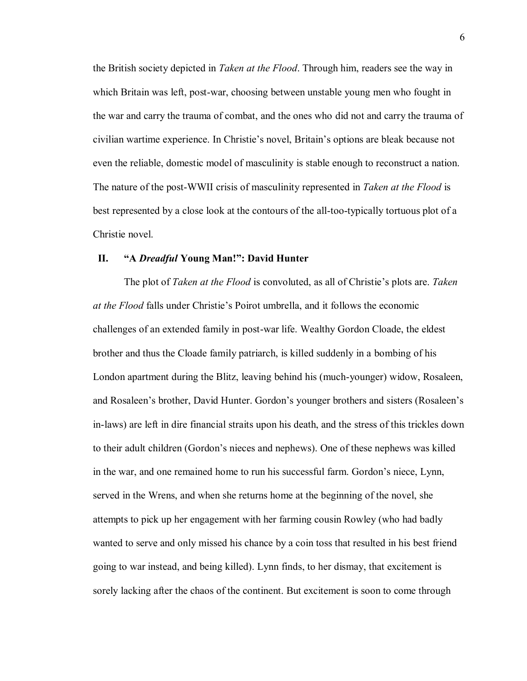the British society depicted in *Taken at the Flood*. Through him, readers see the way in which Britain was left, post-war, choosing between unstable young men who fought in the war and carry the trauma of combat, and the ones who did not and carry the trauma of civilian wartime experience. In Christie's novel, Britain's options are bleak because not even the reliable, domestic model of masculinity is stable enough to reconstruct a nation. The nature of the post-WWII crisis of masculinity represented in *Taken at the Flood* is best represented by a close look at the contours of the all-too-typically tortuous plot of a Christie novel.

### **II. "A** *Dreadful* **Young Man!": David Hunter**

The plot of *Taken at the Flood* is convoluted, as all of Christie's plots are. *Taken at the Flood* falls under Christie's Poirot umbrella, and it follows the economic challenges of an extended family in post-war life. Wealthy Gordon Cloade, the eldest brother and thus the Cloade family patriarch, is killed suddenly in a bombing of his London apartment during the Blitz, leaving behind his (much-younger) widow, Rosaleen, and Rosaleen's brother, David Hunter. Gordon's younger brothers and sisters (Rosaleen's in-laws) are left in dire financial straits upon his death, and the stress of this trickles down to their adult children (Gordon's nieces and nephews). One of these nephews was killed in the war, and one remained home to run his successful farm. Gordon's niece, Lynn, served in the Wrens, and when she returns home at the beginning of the novel, she attempts to pick up her engagement with her farming cousin Rowley (who had badly wanted to serve and only missed his chance by a coin toss that resulted in his best friend going to war instead, and being killed). Lynn finds, to her dismay, that excitement is sorely lacking after the chaos of the continent. But excitement is soon to come through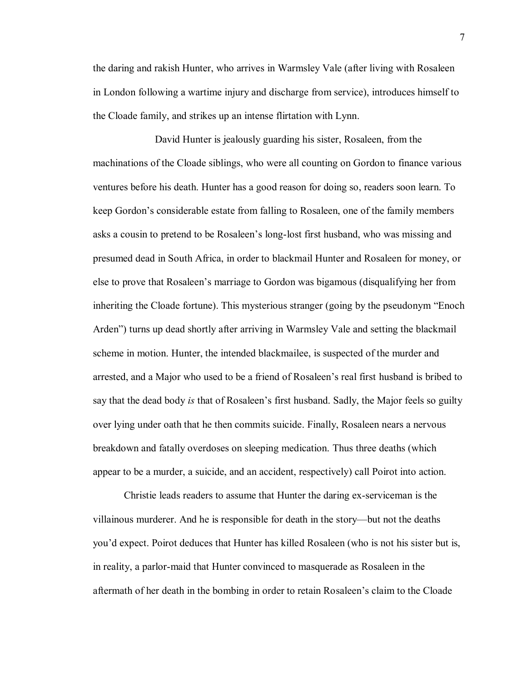the daring and rakish Hunter, who arrives in Warmsley Vale (after living with Rosaleen in London following a wartime injury and discharge from service), introduces himself to the Cloade family, and strikes up an intense flirtation with Lynn.

David Hunter is jealously guarding his sister, Rosaleen, from the machinations of the Cloade siblings, who were all counting on Gordon to finance various ventures before his death. Hunter has a good reason for doing so, readers soon learn. To keep Gordon's considerable estate from falling to Rosaleen, one of the family members asks a cousin to pretend to be Rosaleen's long-lost first husband, who was missing and presumed dead in South Africa, in order to blackmail Hunter and Rosaleen for money, or else to prove that Rosaleen's marriage to Gordon was bigamous (disqualifying her from inheriting the Cloade fortune). This mysterious stranger (going by the pseudonym "Enoch Arden") turns up dead shortly after arriving in Warmsley Vale and setting the blackmail scheme in motion. Hunter, the intended blackmailee, is suspected of the murder and arrested, and a Major who used to be a friend of Rosaleen's real first husband is bribed to say that the dead body *is* that of Rosaleen's first husband. Sadly, the Major feels so guilty over lying under oath that he then commits suicide. Finally, Rosaleen nears a nervous breakdown and fatally overdoses on sleeping medication. Thus three deaths (which appear to be a murder, a suicide, and an accident, respectively) call Poirot into action.

Christie leads readers to assume that Hunter the daring ex-serviceman is the villainous murderer. And he is responsible for death in the story—but not the deaths you'd expect. Poirot deduces that Hunter has killed Rosaleen (who is not his sister but is, in reality, a parlor-maid that Hunter convinced to masquerade as Rosaleen in the aftermath of her death in the bombing in order to retain Rosaleen's claim to the Cloade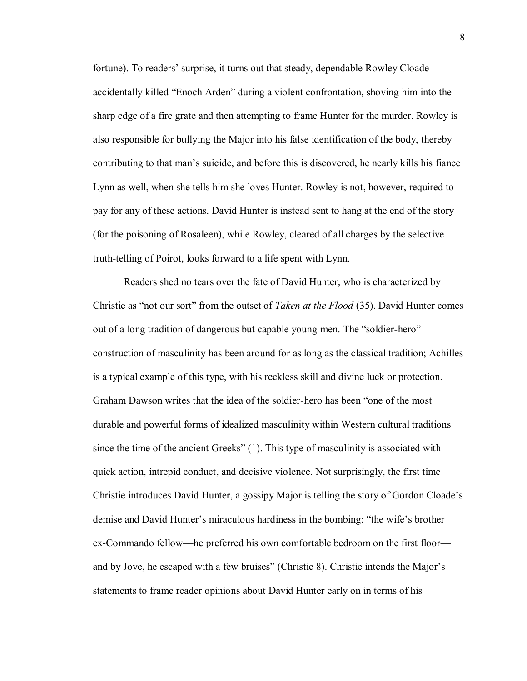fortune). To readers' surprise, it turns out that steady, dependable Rowley Cloade accidentally killed "Enoch Arden" during a violent confrontation, shoving him into the sharp edge of a fire grate and then attempting to frame Hunter for the murder. Rowley is also responsible for bullying the Major into his false identification of the body, thereby contributing to that man's suicide, and before this is discovered, he nearly kills his fiance Lynn as well, when she tells him she loves Hunter. Rowley is not, however, required to pay for any of these actions. David Hunter is instead sent to hang at the end of the story (for the poisoning of Rosaleen), while Rowley, cleared of all charges by the selective truth-telling of Poirot, looks forward to a life spent with Lynn.

Readers shed no tears over the fate of David Hunter, who is characterized by Christie as "not our sort" from the outset of *Taken at the Flood* (35). David Hunter comes out of a long tradition of dangerous but capable young men. The "soldier-hero" construction of masculinity has been around for as long as the classical tradition; Achilles is a typical example of this type, with his reckless skill and divine luck or protection. Graham Dawson writes that the idea of the soldier-hero has been "one of the most durable and powerful forms of idealized masculinity within Western cultural traditions since the time of the ancient Greeks" (1). This type of masculinity is associated with quick action, intrepid conduct, and decisive violence. Not surprisingly, the first time Christie introduces David Hunter, a gossipy Major is telling the story of Gordon Cloade's demise and David Hunter's miraculous hardiness in the bombing: "the wife's brother ex-Commando fellow—he preferred his own comfortable bedroom on the first floor and by Jove, he escaped with a few bruises" (Christie 8). Christie intends the Major's statements to frame reader opinions about David Hunter early on in terms of his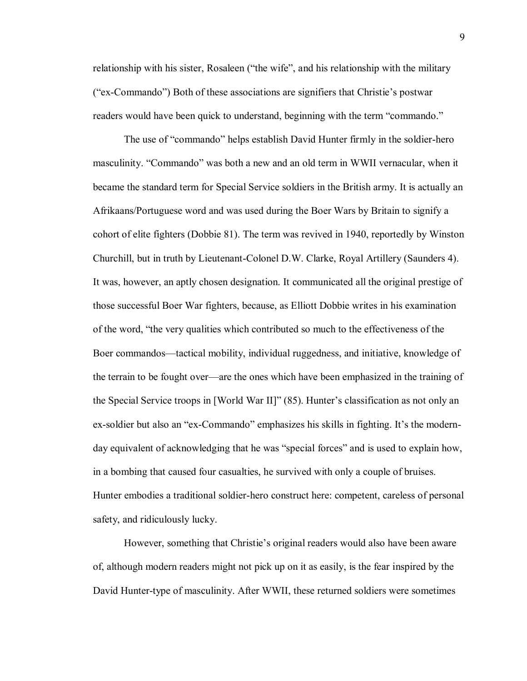relationship with his sister, Rosaleen ("the wife", and his relationship with the military ("ex-Commando") Both of these associations are signifiers that Christie's postwar readers would have been quick to understand, beginning with the term "commando."

The use of "commando" helps establish David Hunter firmly in the soldier-hero masculinity. "Commando" was both a new and an old term in WWII vernacular, when it became the standard term for Special Service soldiers in the British army. It is actually an Afrikaans/Portuguese word and was used during the Boer Wars by Britain to signify a cohort of elite fighters (Dobbie 81). The term was revived in 1940, reportedly by Winston Churchill, but in truth by Lieutenant-Colonel D.W. Clarke, Royal Artillery (Saunders 4). It was, however, an aptly chosen designation. It communicated all the original prestige of those successful Boer War fighters, because, as Elliott Dobbie writes in his examination of the word, "the very qualities which contributed so much to the effectiveness of the Boer commandos—tactical mobility, individual ruggedness, and initiative, knowledge of the terrain to be fought over—are the ones which have been emphasized in the training of the Special Service troops in [World War II]" (85). Hunter's classification as not only an ex-soldier but also an "ex-Commando" emphasizes his skills in fighting. It's the modernday equivalent of acknowledging that he was "special forces" and is used to explain how, in a bombing that caused four casualties, he survived with only a couple of bruises. Hunter embodies a traditional soldier-hero construct here: competent, careless of personal safety, and ridiculously lucky.

However, something that Christie's original readers would also have been aware of, although modern readers might not pick up on it as easily, is the fear inspired by the David Hunter-type of masculinity. After WWII, these returned soldiers were sometimes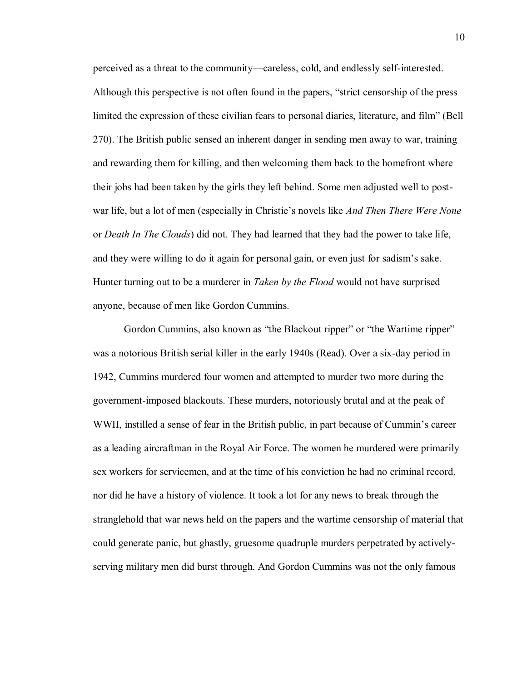perceived as a threat to the community—careless, cold, and endlessly self-interested. Although this perspective is not often found in the papers, "strict censorship of the press limited the expression of these civilian fears to personal diaries, literature, and film" (Bell 270). The British public sensed an inherent danger in sending men away to war, training and rewarding them for killing, and then welcoming them back to the homefront where their jobs had been taken by the girls they left behind. Some men adjusted well to postwar life, but a lot of men (especially in Christie's novels like *And Then There Were None*  or *Death In The Clouds*) did not. They had learned that they had the power to take life, and they were willing to do it again for personal gain, or even just for sadism's sake. Hunter turning out to be a murderer in *Taken by the Flood* would not have surprised anyone, because of men like Gordon Cummins.

Gordon Cummins, also known as "the Blackout ripper" or "the Wartime ripper" was a notorious British serial killer in the early 1940s (Read). Over a six-day period in 1942, Cummins murdered four women and attempted to murder two more during the government-imposed blackouts. These murders, notoriously brutal and at the peak of WWII, instilled a sense of fear in the British public, in part because of Cummin's career as a leading aircraftman in the Royal Air Force. The women he murdered were primarily sex workers for servicemen, and at the time of his conviction he had no criminal record, nor did he have a history of violence. It took a lot for any news to break through the stranglehold that war news held on the papers and the wartime censorship of material that could generate panic, but ghastly, gruesome quadruple murders perpetrated by activelyserving military men did burst through. And Gordon Cummins was not the only famous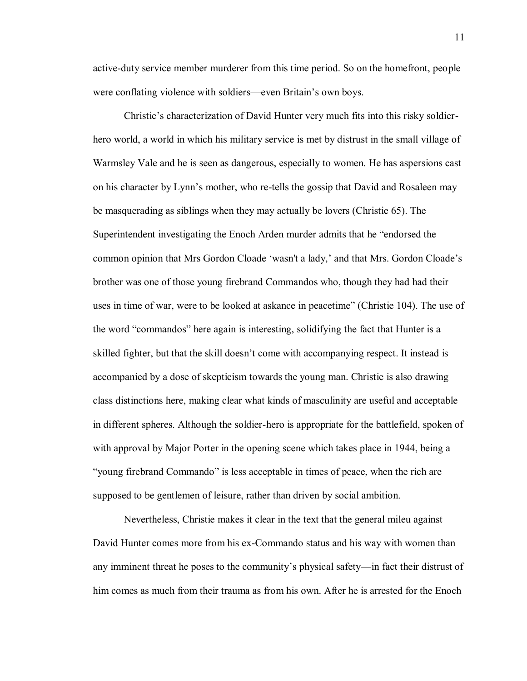active-duty service member murderer from this time period. So on the homefront, people were conflating violence with soldiers—even Britain's own boys.

Christie's characterization of David Hunter very much fits into this risky soldierhero world, a world in which his military service is met by distrust in the small village of Warmsley Vale and he is seen as dangerous, especially to women. He has aspersions cast on his character by Lynn's mother, who re-tells the gossip that David and Rosaleen may be masquerading as siblings when they may actually be lovers (Christie 65). The Superintendent investigating the Enoch Arden murder admits that he "endorsed the common opinion that Mrs Gordon Cloade 'wasn't a lady,' and that Mrs. Gordon Cloade's brother was one of those young firebrand Commandos who, though they had had their uses in time of war, were to be looked at askance in peacetime" (Christie 104). The use of the word "commandos" here again is interesting, solidifying the fact that Hunter is a skilled fighter, but that the skill doesn't come with accompanying respect. It instead is accompanied by a dose of skepticism towards the young man. Christie is also drawing class distinctions here, making clear what kinds of masculinity are useful and acceptable in different spheres. Although the soldier-hero is appropriate for the battlefield, spoken of with approval by Major Porter in the opening scene which takes place in 1944, being a "young firebrand Commando" is less acceptable in times of peace, when the rich are supposed to be gentlemen of leisure, rather than driven by social ambition.

Nevertheless, Christie makes it clear in the text that the general mileu against David Hunter comes more from his ex-Commando status and his way with women than any imminent threat he poses to the community's physical safety—in fact their distrust of him comes as much from their trauma as from his own. After he is arrested for the Enoch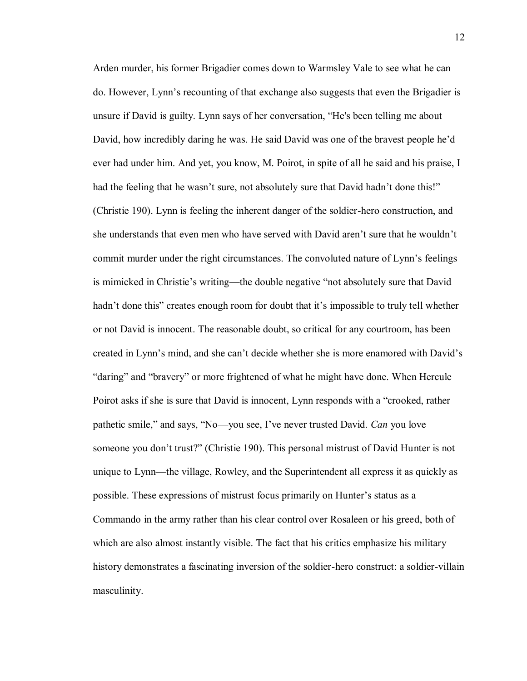Arden murder, his former Brigadier comes down to Warmsley Vale to see what he can do. However, Lynn's recounting of that exchange also suggests that even the Brigadier is unsure if David is guilty. Lynn says of her conversation, "He's been telling me about David, how incredibly daring he was. He said David was one of the bravest people he'd ever had under him. And yet, you know, M. Poirot, in spite of all he said and his praise, I had the feeling that he wasn't sure, not absolutely sure that David hadn't done this!" (Christie 190). Lynn is feeling the inherent danger of the soldier-hero construction, and she understands that even men who have served with David aren't sure that he wouldn't commit murder under the right circumstances. The convoluted nature of Lynn's feelings is mimicked in Christie's writing—the double negative "not absolutely sure that David hadn't done this" creates enough room for doubt that it's impossible to truly tell whether or not David is innocent. The reasonable doubt, so critical for any courtroom, has been created in Lynn's mind, and she can't decide whether she is more enamored with David's "daring" and "bravery" or more frightened of what he might have done. When Hercule Poirot asks if she is sure that David is innocent, Lynn responds with a "crooked, rather pathetic smile," and says, "No—you see, I've never trusted David. *Can* you love someone you don't trust?" (Christie 190). This personal mistrust of David Hunter is not unique to Lynn—the village, Rowley, and the Superintendent all express it as quickly as possible. These expressions of mistrust focus primarily on Hunter's status as a Commando in the army rather than his clear control over Rosaleen or his greed, both of which are also almost instantly visible. The fact that his critics emphasize his military history demonstrates a fascinating inversion of the soldier-hero construct: a soldier-villain masculinity.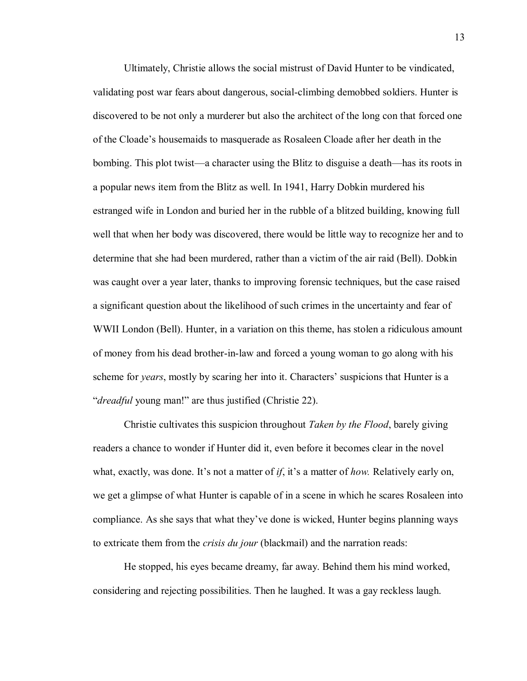Ultimately, Christie allows the social mistrust of David Hunter to be vindicated, validating post war fears about dangerous, social-climbing demobbed soldiers. Hunter is discovered to be not only a murderer but also the architect of the long con that forced one of the Cloade's housemaids to masquerade as Rosaleen Cloade after her death in the bombing. This plot twist—a character using the Blitz to disguise a death—has its roots in a popular news item from the Blitz as well. In 1941, Harry Dobkin murdered his estranged wife in London and buried her in the rubble of a blitzed building, knowing full well that when her body was discovered, there would be little way to recognize her and to determine that she had been murdered, rather than a victim of the air raid (Bell). Dobkin was caught over a year later, thanks to improving forensic techniques, but the case raised a significant question about the likelihood of such crimes in the uncertainty and fear of WWII London (Bell). Hunter, in a variation on this theme, has stolen a ridiculous amount of money from his dead brother-in-law and forced a young woman to go along with his scheme for *years*, mostly by scaring her into it. Characters' suspicions that Hunter is a "*dreadful* young man!" are thus justified (Christie 22).

Christie cultivates this suspicion throughout *Taken by the Flood*, barely giving readers a chance to wonder if Hunter did it, even before it becomes clear in the novel what, exactly, was done. It's not a matter of *if*, it's a matter of *how.* Relatively early on, we get a glimpse of what Hunter is capable of in a scene in which he scares Rosaleen into compliance. As she says that what they've done is wicked, Hunter begins planning ways to extricate them from the *crisis du jour* (blackmail) and the narration reads:

He stopped, his eyes became dreamy, far away. Behind them his mind worked, considering and rejecting possibilities. Then he laughed. It was a gay reckless laugh.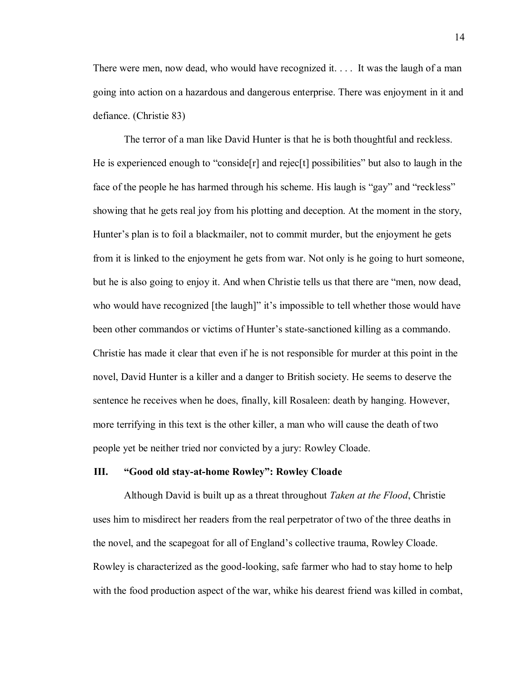There were men, now dead, who would have recognized it.... It was the laugh of a man going into action on a hazardous and dangerous enterprise. There was enjoyment in it and defiance. (Christie 83)

The terror of a man like David Hunter is that he is both thoughtful and reckless. He is experienced enough to "conside $[r]$  and rejec $[t]$  possibilities" but also to laugh in the face of the people he has harmed through his scheme. His laugh is "gay" and "reckless" showing that he gets real joy from his plotting and deception. At the moment in the story, Hunter's plan is to foil a blackmailer, not to commit murder, but the enjoyment he gets from it is linked to the enjoyment he gets from war. Not only is he going to hurt someone, but he is also going to enjoy it. And when Christie tells us that there are "men, now dead, who would have recognized [the laugh]" it's impossible to tell whether those would have been other commandos or victims of Hunter's state-sanctioned killing as a commando. Christie has made it clear that even if he is not responsible for murder at this point in the novel, David Hunter is a killer and a danger to British society. He seems to deserve the sentence he receives when he does, finally, kill Rosaleen: death by hanging. However, more terrifying in this text is the other killer, a man who will cause the death of two people yet be neither tried nor convicted by a jury: Rowley Cloade.

#### **III. "Good old stay-at-home Rowley": Rowley Cloade**

Although David is built up as a threat throughout *Taken at the Flood*, Christie uses him to misdirect her readers from the real perpetrator of two of the three deaths in the novel, and the scapegoat for all of England's collective trauma, Rowley Cloade. Rowley is characterized as the good-looking, safe farmer who had to stay home to help with the food production aspect of the war, whike his dearest friend was killed in combat,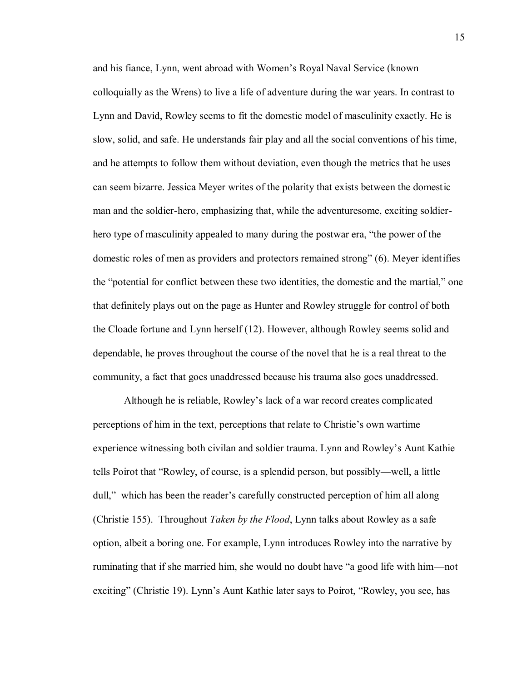and his fiance, Lynn, went abroad with Women's Royal Naval Service (known colloquially as the Wrens) to live a life of adventure during the war years. In contrast to Lynn and David, Rowley seems to fit the domestic model of masculinity exactly. He is slow, solid, and safe. He understands fair play and all the social conventions of his time, and he attempts to follow them without deviation, even though the metrics that he uses can seem bizarre. Jessica Meyer writes of the polarity that exists between the domestic man and the soldier-hero, emphasizing that, while the adventuresome, exciting soldierhero type of masculinity appealed to many during the postwar era, "the power of the domestic roles of men as providers and protectors remained strong" (6). Meyer identifies the "potential for conflict between these two identities, the domestic and the martial," one that definitely plays out on the page as Hunter and Rowley struggle for control of both the Cloade fortune and Lynn herself (12). However, although Rowley seems solid and dependable, he proves throughout the course of the novel that he is a real threat to the community, a fact that goes unaddressed because his trauma also goes unaddressed.

Although he is reliable, Rowley's lack of a war record creates complicated perceptions of him in the text, perceptions that relate to Christie's own wartime experience witnessing both civilan and soldier trauma. Lynn and Rowley's Aunt Kathie tells Poirot that "Rowley, of course, is a splendid person, but possibly—well, a little dull," which has been the reader's carefully constructed perception of him all along (Christie 155). Throughout *Taken by the Flood*, Lynn talks about Rowley as a safe option, albeit a boring one. For example, Lynn introduces Rowley into the narrative by ruminating that if she married him, she would no doubt have "a good life with him—not exciting" (Christie 19). Lynn's Aunt Kathie later says to Poirot, "Rowley, you see, has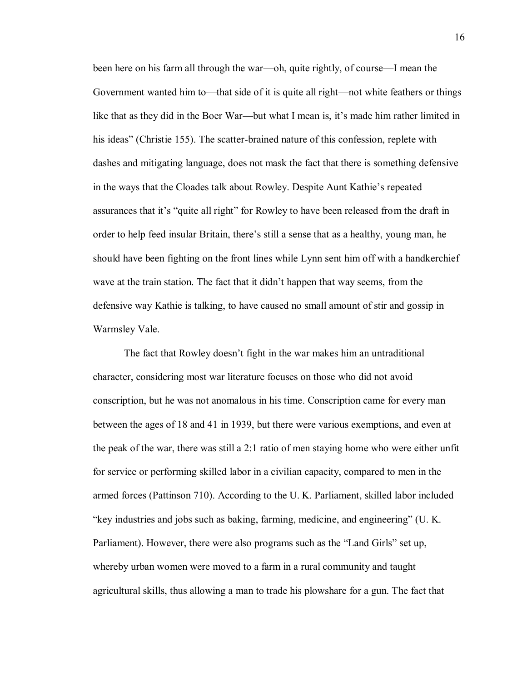been here on his farm all through the war—oh, quite rightly, of course—I mean the Government wanted him to—that side of it is quite all right—not white feathers or things like that as they did in the Boer War—but what I mean is, it's made him rather limited in his ideas" (Christie 155). The scatter-brained nature of this confession, replete with dashes and mitigating language, does not mask the fact that there is something defensive in the ways that the Cloades talk about Rowley. Despite Aunt Kathie's repeated assurances that it's "quite all right" for Rowley to have been released from the draft in order to help feed insular Britain, there's still a sense that as a healthy, young man, he should have been fighting on the front lines while Lynn sent him off with a handkerchief wave at the train station. The fact that it didn't happen that way seems, from the defensive way Kathie is talking, to have caused no small amount of stir and gossip in Warmsley Vale.

The fact that Rowley doesn't fight in the war makes him an untraditional character, considering most war literature focuses on those who did not avoid conscription, but he was not anomalous in his time. Conscription came for every man between the ages of 18 and 41 in 1939, but there were various exemptions, and even at the peak of the war, there was still a 2:1 ratio of men staying home who were either unfit for service or performing skilled labor in a civilian capacity, compared to men in the armed forces (Pattinson 710). According to the U. K. Parliament, skilled labor included "key industries and jobs such as baking, farming, medicine, and engineering" (U. K. Parliament). However, there were also programs such as the "Land Girls" set up, whereby urban women were moved to a farm in a rural community and taught agricultural skills, thus allowing a man to trade his plowshare for a gun. The fact that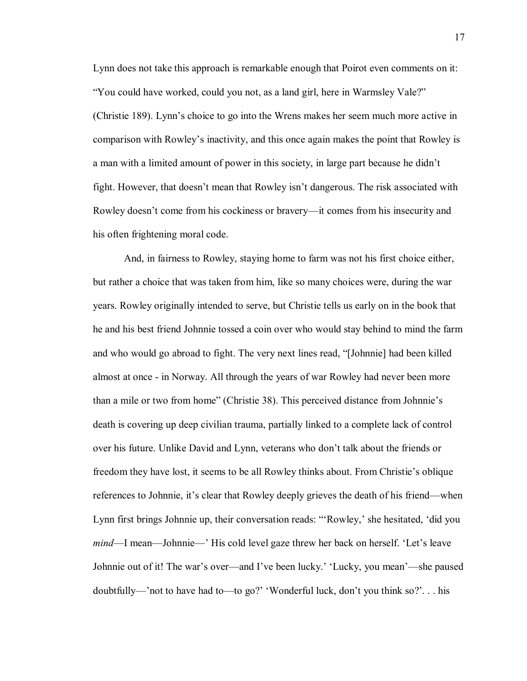Lynn does not take this approach is remarkable enough that Poirot even comments on it: "You could have worked, could you not, as a land girl, here in Warmsley Vale?" (Christie 189). Lynn's choice to go into the Wrens makes her seem much more active in comparison with Rowley's inactivity, and this once again makes the point that Rowley is a man with a limited amount of power in this society, in large part because he didn't fight. However, that doesn't mean that Rowley isn't dangerous. The risk associated with Rowley doesn't come from his cockiness or bravery—it comes from his insecurity and his often frightening moral code.

And, in fairness to Rowley, staying home to farm was not his first choice either, but rather a choice that was taken from him, like so many choices were, during the war years. Rowley originally intended to serve, but Christie tells us early on in the book that he and his best friend Johnnie tossed a coin over who would stay behind to mind the farm and who would go abroad to fight. The very next lines read, "[Johnnie] had been killed almost at once - in Norway. All through the years of war Rowley had never been more than a mile or two from home" (Christie 38). This perceived distance from Johnnie's death is covering up deep civilian trauma, partially linked to a complete lack of control over his future. Unlike David and Lynn, veterans who don't talk about the friends or freedom they have lost, it seems to be all Rowley thinks about. From Christie's oblique references to Johnnie, it's clear that Rowley deeply grieves the death of his friend—when Lynn first brings Johnnie up, their conversation reads: "'Rowley,' she hesitated, 'did you *mind*—I mean—Johnnie—' His cold level gaze threw her back on herself. 'Let's leave Johnnie out of it! The war's over—and I've been lucky.' 'Lucky, you mean'—she paused doubtfully—'not to have had to—to go?' 'Wonderful luck, don't you think so?'. . . his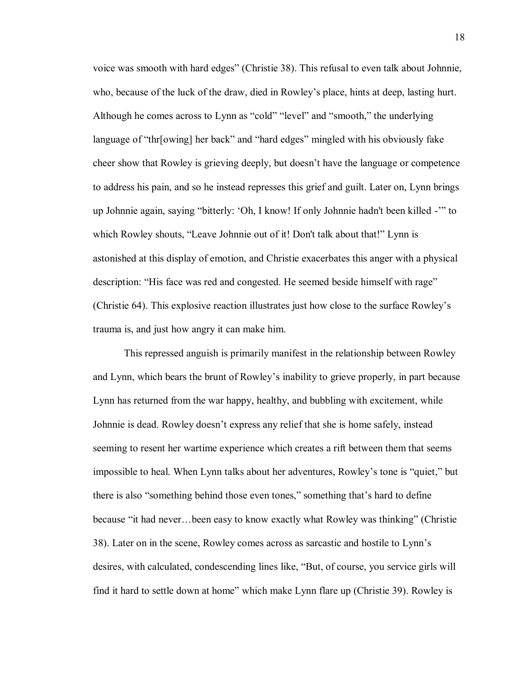voice was smooth with hard edges" (Christie 38). This refusal to even talk about Johnnie, who, because of the luck of the draw, died in Rowley's place, hints at deep, lasting hurt. Although he comes across to Lynn as "cold" "level" and "smooth," the underlying language of "thr[owing] her back" and "hard edges" mingled with his obviously fake cheer show that Rowley is grieving deeply, but doesn't have the language or competence to address his pain, and so he instead represses this grief and guilt. Later on, Lynn brings up Johnnie again, saying "bitterly: 'Oh, I know! If only Johnnie hadn't been killed -'" to which Rowley shouts, "Leave Johnnie out of it! Don't talk about that!" Lynn is astonished at this display of emotion, and Christie exacerbates this anger with a physical description: "His face was red and congested. He seemed beside himself with rage" (Christie 64). This explosive reaction illustrates just how close to the surface Rowley's trauma is, and just how angry it can make him.

This repressed anguish is primarily manifest in the relationship between Rowley and Lynn, which bears the brunt of Rowley's inability to grieve properly, in part because Lynn has returned from the war happy, healthy, and bubbling with excitement, while Johnnie is dead. Rowley doesn't express any relief that she is home safely, instead seeming to resent her wartime experience which creates a rift between them that seems impossible to heal. When Lynn talks about her adventures, Rowley's tone is "quiet," but there is also "something behind those even tones," something that's hard to define because "it had never…been easy to know exactly what Rowley was thinking" (Christie 38). Later on in the scene, Rowley comes across as sarcastic and hostile to Lynn's desires, with calculated, condescending lines like, "But, of course, you service girls will find it hard to settle down at home" which make Lynn flare up (Christie 39). Rowley is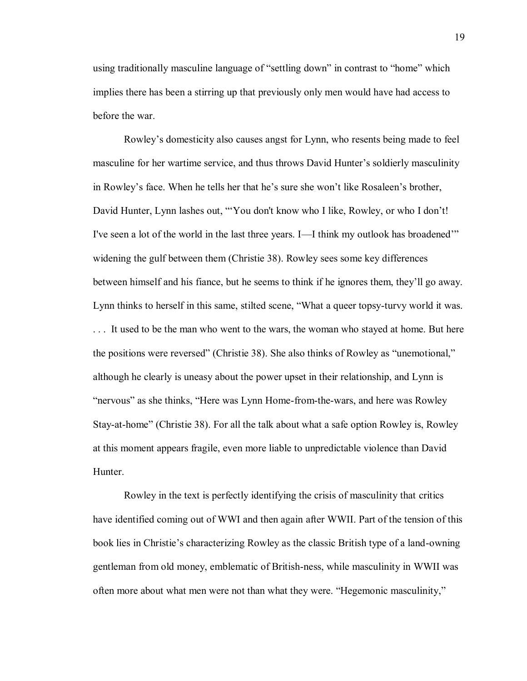using traditionally masculine language of "settling down" in contrast to "home" which implies there has been a stirring up that previously only men would have had access to before the war.

Rowley's domesticity also causes angst for Lynn, who resents being made to feel masculine for her wartime service, and thus throws David Hunter's soldierly masculinity in Rowley's face. When he tells her that he's sure she won't like Rosaleen's brother, David Hunter, Lynn lashes out, "'You don't know who I like, Rowley, or who I don't! I've seen a lot of the world in the last three years. I—I think my outlook has broadened'" widening the gulf between them (Christie 38). Rowley sees some key differences between himself and his fiance, but he seems to think if he ignores them, they'll go away. Lynn thinks to herself in this same, stilted scene, "What a queer topsy-turvy world it was. . . . It used to be the man who went to the wars, the woman who stayed at home. But here the positions were reversed" (Christie 38). She also thinks of Rowley as "unemotional," although he clearly is uneasy about the power upset in their relationship, and Lynn is "nervous" as she thinks, "Here was Lynn Home-from-the-wars, and here was Rowley Stay-at-home" (Christie 38). For all the talk about what a safe option Rowley is, Rowley at this moment appears fragile, even more liable to unpredictable violence than David Hunter.

Rowley in the text is perfectly identifying the crisis of masculinity that critics have identified coming out of WWI and then again after WWII. Part of the tension of this book lies in Christie's characterizing Rowley as the classic British type of a land-owning gentleman from old money, emblematic of British-ness, while masculinity in WWII was often more about what men were not than what they were. "Hegemonic masculinity,"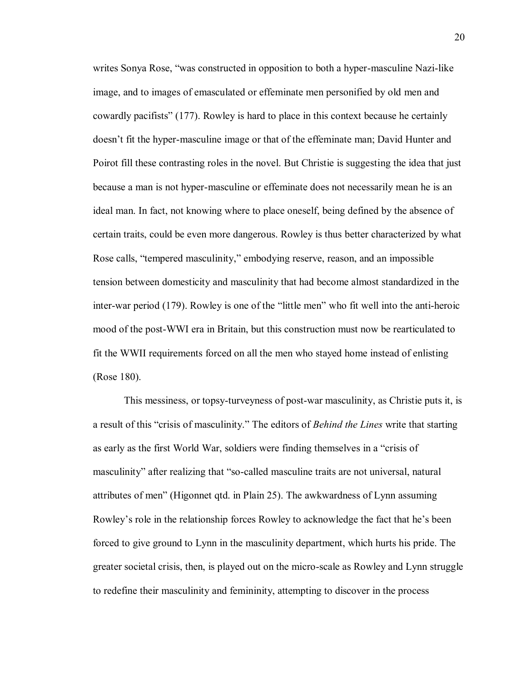writes Sonya Rose, "was constructed in opposition to both a hyper-masculine Nazi-like image, and to images of emasculated or effeminate men personified by old men and cowardly pacifists" (177). Rowley is hard to place in this context because he certainly doesn't fit the hyper-masculine image or that of the effeminate man; David Hunter and Poirot fill these contrasting roles in the novel. But Christie is suggesting the idea that just because a man is not hyper-masculine or effeminate does not necessarily mean he is an ideal man. In fact, not knowing where to place oneself, being defined by the absence of certain traits, could be even more dangerous. Rowley is thus better characterized by what Rose calls, "tempered masculinity," embodying reserve, reason, and an impossible tension between domesticity and masculinity that had become almost standardized in the inter-war period (179). Rowley is one of the "little men" who fit well into the anti-heroic mood of the post-WWI era in Britain, but this construction must now be rearticulated to fit the WWII requirements forced on all the men who stayed home instead of enlisting (Rose 180).

This messiness, or topsy-turveyness of post-war masculinity, as Christie puts it, is a result of this "crisis of masculinity." The editors of *Behind the Lines* write that starting as early as the first World War, soldiers were finding themselves in a "crisis of masculinity" after realizing that "so-called masculine traits are not universal, natural attributes of men" (Higonnet qtd. in Plain 25). The awkwardness of Lynn assuming Rowley's role in the relationship forces Rowley to acknowledge the fact that he's been forced to give ground to Lynn in the masculinity department, which hurts his pride. The greater societal crisis, then, is played out on the micro-scale as Rowley and Lynn struggle to redefine their masculinity and femininity, attempting to discover in the process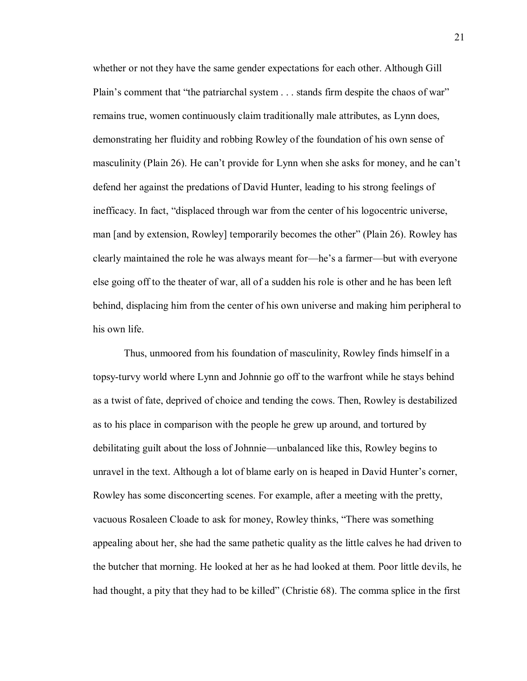whether or not they have the same gender expectations for each other. Although Gill Plain's comment that "the patriarchal system . . . stands firm despite the chaos of war" remains true, women continuously claim traditionally male attributes, as Lynn does, demonstrating her fluidity and robbing Rowley of the foundation of his own sense of masculinity (Plain 26). He can't provide for Lynn when she asks for money, and he can't defend her against the predations of David Hunter, leading to his strong feelings of inefficacy. In fact, "displaced through war from the center of his logocentric universe, man [and by extension, Rowley] temporarily becomes the other" (Plain 26). Rowley has clearly maintained the role he was always meant for—he's a farmer—but with everyone else going off to the theater of war, all of a sudden his role is other and he has been left behind, displacing him from the center of his own universe and making him peripheral to his own life.

Thus, unmoored from his foundation of masculinity, Rowley finds himself in a topsy-turvy world where Lynn and Johnnie go off to the warfront while he stays behind as a twist of fate, deprived of choice and tending the cows. Then, Rowley is destabilized as to his place in comparison with the people he grew up around, and tortured by debilitating guilt about the loss of Johnnie—unbalanced like this, Rowley begins to unravel in the text. Although a lot of blame early on is heaped in David Hunter's corner, Rowley has some disconcerting scenes. For example, after a meeting with the pretty, vacuous Rosaleen Cloade to ask for money, Rowley thinks, "There was something appealing about her, she had the same pathetic quality as the little calves he had driven to the butcher that morning. He looked at her as he had looked at them. Poor little devils, he had thought, a pity that they had to be killed" (Christie 68). The comma splice in the first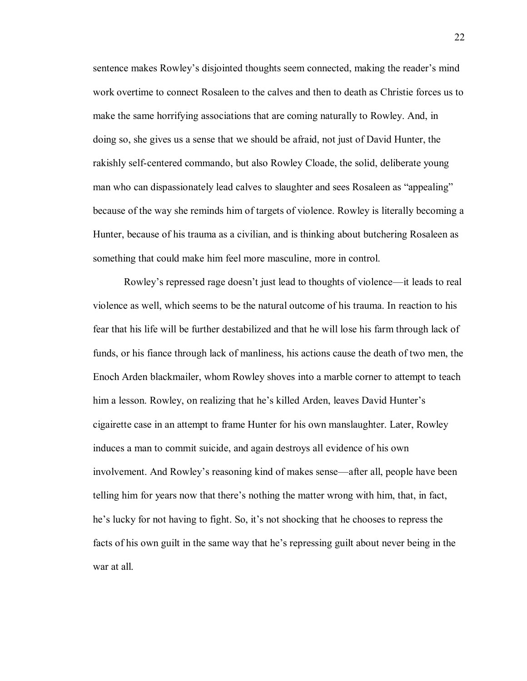sentence makes Rowley's disjointed thoughts seem connected, making the reader's mind work overtime to connect Rosaleen to the calves and then to death as Christie forces us to make the same horrifying associations that are coming naturally to Rowley. And, in doing so, she gives us a sense that we should be afraid, not just of David Hunter, the rakishly self-centered commando, but also Rowley Cloade, the solid, deliberate young man who can dispassionately lead calves to slaughter and sees Rosaleen as "appealing" because of the way she reminds him of targets of violence. Rowley is literally becoming a Hunter, because of his trauma as a civilian, and is thinking about butchering Rosaleen as something that could make him feel more masculine, more in control.

Rowley's repressed rage doesn't just lead to thoughts of violence—it leads to real violence as well, which seems to be the natural outcome of his trauma. In reaction to his fear that his life will be further destabilized and that he will lose his farm through lack of funds, or his fiance through lack of manliness, his actions cause the death of two men, the Enoch Arden blackmailer, whom Rowley shoves into a marble corner to attempt to teach him a lesson. Rowley, on realizing that he's killed Arden, leaves David Hunter's cigairette case in an attempt to frame Hunter for his own manslaughter. Later, Rowley induces a man to commit suicide, and again destroys all evidence of his own involvement. And Rowley's reasoning kind of makes sense—after all, people have been telling him for years now that there's nothing the matter wrong with him, that, in fact, he's lucky for not having to fight. So, it's not shocking that he chooses to repress the facts of his own guilt in the same way that he's repressing guilt about never being in the war at all.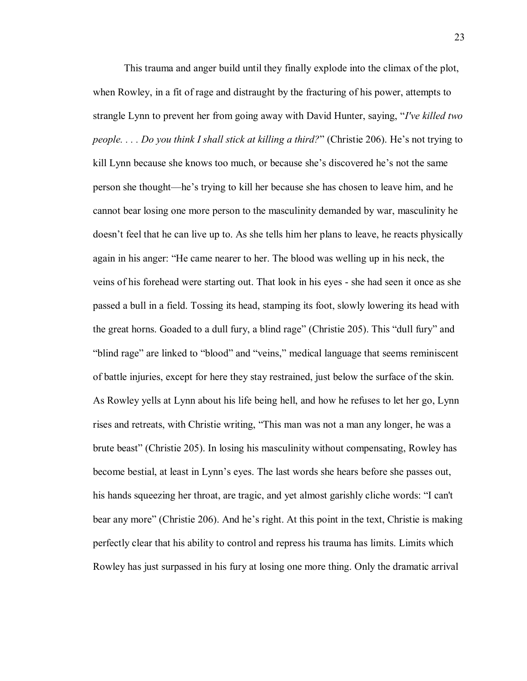This trauma and anger build until they finally explode into the climax of the plot, when Rowley, in a fit of rage and distraught by the fracturing of his power, attempts to strangle Lynn to prevent her from going away with David Hunter, saying, "*I've killed two people. . . . Do you think I shall stick at killing a third?*" (Christie 206). He's not trying to kill Lynn because she knows too much, or because she's discovered he's not the same person she thought—he's trying to kill her because she has chosen to leave him, and he cannot bear losing one more person to the masculinity demanded by war, masculinity he doesn't feel that he can live up to. As she tells him her plans to leave, he reacts physically again in his anger: "He came nearer to her. The blood was welling up in his neck, the veins of his forehead were starting out. That look in his eyes - she had seen it once as she passed a bull in a field. Tossing its head, stamping its foot, slowly lowering its head with the great horns. Goaded to a dull fury, a blind rage" (Christie 205). This "dull fury" and "blind rage" are linked to "blood" and "veins," medical language that seems reminiscent of battle injuries, except for here they stay restrained, just below the surface of the skin. As Rowley yells at Lynn about his life being hell, and how he refuses to let her go, Lynn rises and retreats, with Christie writing, "This man was not a man any longer, he was a brute beast" (Christie 205). In losing his masculinity without compensating, Rowley has become bestial, at least in Lynn's eyes. The last words she hears before she passes out, his hands squeezing her throat, are tragic, and yet almost garishly cliche words: "I can't bear any more" (Christie 206). And he's right. At this point in the text, Christie is making perfectly clear that his ability to control and repress his trauma has limits. Limits which Rowley has just surpassed in his fury at losing one more thing. Only the dramatic arrival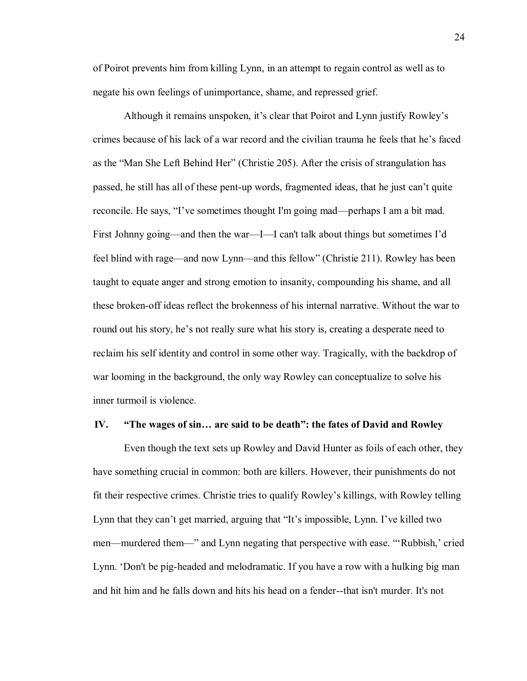of Poirot prevents him from killing Lynn, in an attempt to regain control as well as to negate his own feelings of unimportance, shame, and repressed grief.

Although it remains unspoken, it's clear that Poirot and Lynn justify Rowley's crimes because of his lack of a war record and the civilian trauma he feels that he's faced as the "Man She Left Behind Her" (Christie 205). After the crisis of strangulation has passed, he still has all of these pent-up words, fragmented ideas, that he just can't quite reconcile. He says, "I've sometimes thought I'm going mad—perhaps I am a bit mad. First Johnny going—and then the war—I—I can't talk about things but sometimes I'd feel blind with rage—and now Lynn—and this fellow" (Christie 211). Rowley has been taught to equate anger and strong emotion to insanity, compounding his shame, and all these broken-off ideas reflect the brokenness of his internal narrative. Without the war to round out his story, he's not really sure what his story is, creating a desperate need to reclaim his self identity and control in some other way. Tragically, with the backdrop of war looming in the background, the only way Rowley can conceptualize to solve his inner turmoil is violence.

### **IV. "The wages of sin… are said to be death": the fates of David and Rowley**

Even though the text sets up Rowley and David Hunter as foils of each other, they have something crucial in common: both are killers. However, their punishments do not fit their respective crimes. Christie tries to qualify Rowley's killings, with Rowley telling Lynn that they can't get married, arguing that "It's impossible, Lynn. I've killed two men—murdered them—" and Lynn negating that perspective with ease. "'Rubbish,' cried Lynn. 'Don't be pig-headed and melodramatic. If you have a row with a hulking big man and hit him and he falls down and hits his head on a fender--that isn't murder. It's not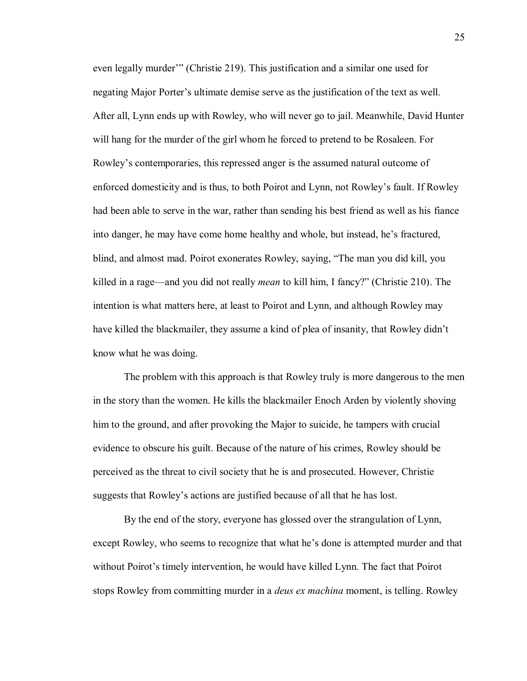even legally murder'" (Christie 219). This justification and a similar one used for negating Major Porter's ultimate demise serve as the justification of the text as well. After all, Lynn ends up with Rowley, who will never go to jail. Meanwhile, David Hunter will hang for the murder of the girl whom he forced to pretend to be Rosaleen. For Rowley's contemporaries, this repressed anger is the assumed natural outcome of enforced domesticity and is thus, to both Poirot and Lynn, not Rowley's fault. If Rowley had been able to serve in the war, rather than sending his best friend as well as his fiance into danger, he may have come home healthy and whole, but instead, he's fractured, blind, and almost mad. Poirot exonerates Rowley, saying, "The man you did kill, you killed in a rage—and you did not really *mean* to kill him, I fancy?" (Christie 210). The intention is what matters here, at least to Poirot and Lynn, and although Rowley may have killed the blackmailer, they assume a kind of plea of insanity, that Rowley didn't know what he was doing.

The problem with this approach is that Rowley truly is more dangerous to the men in the story than the women. He kills the blackmailer Enoch Arden by violently shoving him to the ground, and after provoking the Major to suicide, he tampers with crucial evidence to obscure his guilt. Because of the nature of his crimes, Rowley should be perceived as the threat to civil society that he is and prosecuted. However, Christie suggests that Rowley's actions are justified because of all that he has lost.

By the end of the story, everyone has glossed over the strangulation of Lynn, except Rowley, who seems to recognize that what he's done is attempted murder and that without Poirot's timely intervention, he would have killed Lynn. The fact that Poirot stops Rowley from committing murder in a *deus ex machina* moment, is telling. Rowley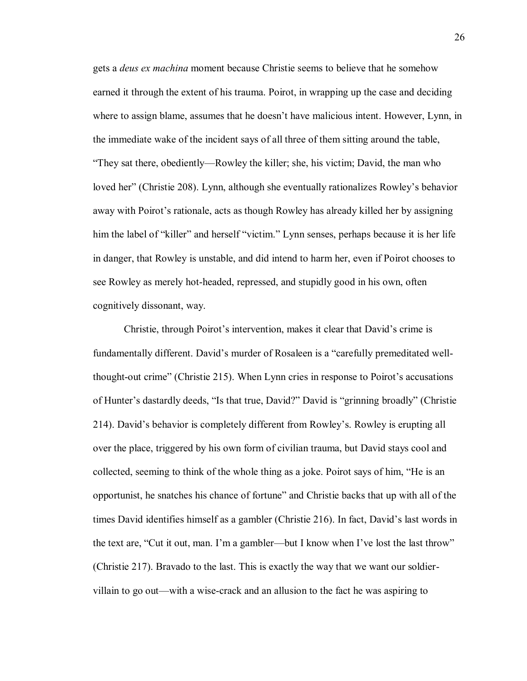gets a *deus ex machina* moment because Christie seems to believe that he somehow earned it through the extent of his trauma. Poirot, in wrapping up the case and deciding where to assign blame, assumes that he doesn't have malicious intent. However, Lynn, in the immediate wake of the incident says of all three of them sitting around the table, "They sat there, obediently—Rowley the killer; she, his victim; David, the man who loved her" (Christie 208). Lynn, although she eventually rationalizes Rowley's behavior away with Poirot's rationale, acts as though Rowley has already killed her by assigning him the label of "killer" and herself "victim." Lynn senses, perhaps because it is her life in danger, that Rowley is unstable, and did intend to harm her, even if Poirot chooses to see Rowley as merely hot-headed, repressed, and stupidly good in his own, often cognitively dissonant, way.

Christie, through Poirot's intervention, makes it clear that David's crime is fundamentally different. David's murder of Rosaleen is a "carefully premeditated wellthought-out crime" (Christie 215). When Lynn cries in response to Poirot's accusations of Hunter's dastardly deeds, "Is that true, David?" David is "grinning broadly" (Christie 214). David's behavior is completely different from Rowley's. Rowley is erupting all over the place, triggered by his own form of civilian trauma, but David stays cool and collected, seeming to think of the whole thing as a joke. Poirot says of him, "He is an opportunist, he snatches his chance of fortune" and Christie backs that up with all of the times David identifies himself as a gambler (Christie 216). In fact, David's last words in the text are, "Cut it out, man. I'm a gambler—but I know when I've lost the last throw" (Christie 217). Bravado to the last. This is exactly the way that we want our soldiervillain to go out—with a wise-crack and an allusion to the fact he was aspiring to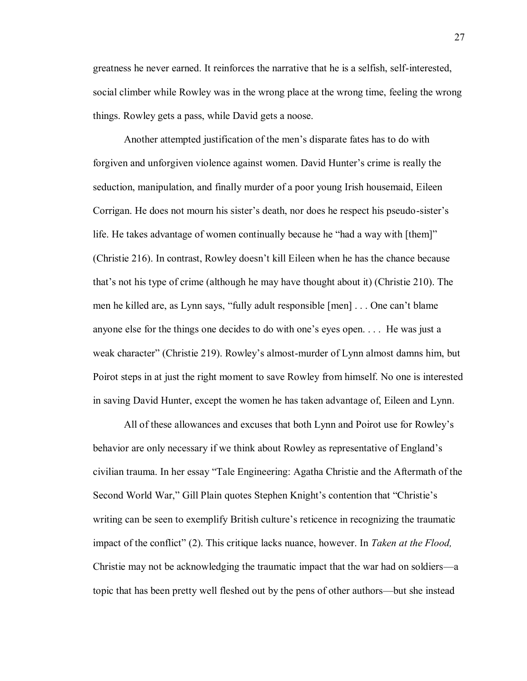greatness he never earned. It reinforces the narrative that he is a selfish, self-interested, social climber while Rowley was in the wrong place at the wrong time, feeling the wrong things. Rowley gets a pass, while David gets a noose.

Another attempted justification of the men's disparate fates has to do with forgiven and unforgiven violence against women. David Hunter's crime is really the seduction, manipulation, and finally murder of a poor young Irish housemaid, Eileen Corrigan. He does not mourn his sister's death, nor does he respect his pseudo-sister's life. He takes advantage of women continually because he "had a way with [them]" (Christie 216). In contrast, Rowley doesn't kill Eileen when he has the chance because that's not his type of crime (although he may have thought about it) (Christie 210). The men he killed are, as Lynn says, "fully adult responsible [men] . . . One can't blame anyone else for the things one decides to do with one's eyes open. . . . He was just a weak character" (Christie 219). Rowley's almost-murder of Lynn almost damns him, but Poirot steps in at just the right moment to save Rowley from himself. No one is interested in saving David Hunter, except the women he has taken advantage of, Eileen and Lynn.

All of these allowances and excuses that both Lynn and Poirot use for Rowley's behavior are only necessary if we think about Rowley as representative of England's civilian trauma. In her essay "Tale Engineering: Agatha Christie and the Aftermath of the Second World War," Gill Plain quotes Stephen Knight's contention that "Christie's writing can be seen to exemplify British culture's reticence in recognizing the traumatic impact of the conflict" (2). This critique lacks nuance, however. In *Taken at the Flood,* Christie may not be acknowledging the traumatic impact that the war had on soldiers—a topic that has been pretty well fleshed out by the pens of other authors—but she instead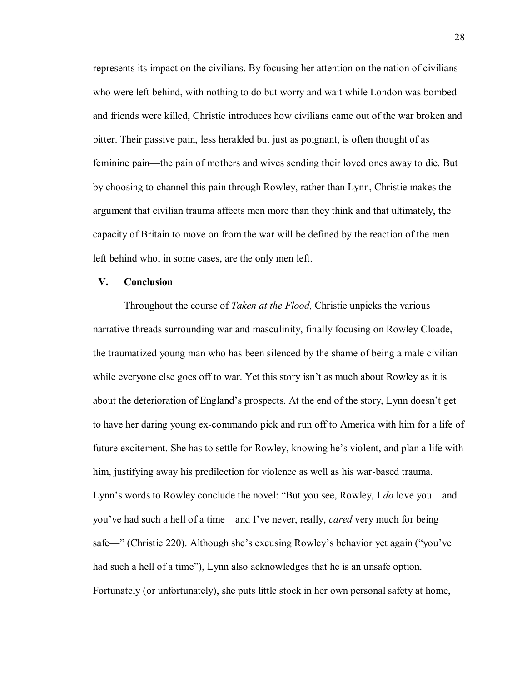represents its impact on the civilians. By focusing her attention on the nation of civilians who were left behind, with nothing to do but worry and wait while London was bombed and friends were killed, Christie introduces how civilians came out of the war broken and bitter. Their passive pain, less heralded but just as poignant, is often thought of as feminine pain—the pain of mothers and wives sending their loved ones away to die. But by choosing to channel this pain through Rowley, rather than Lynn, Christie makes the argument that civilian trauma affects men more than they think and that ultimately, the capacity of Britain to move on from the war will be defined by the reaction of the men left behind who, in some cases, are the only men left.

### **V. Conclusion**

Throughout the course of *Taken at the Flood,* Christie unpicks the various narrative threads surrounding war and masculinity, finally focusing on Rowley Cloade, the traumatized young man who has been silenced by the shame of being a male civilian while everyone else goes off to war. Yet this story isn't as much about Rowley as it is about the deterioration of England's prospects. At the end of the story, Lynn doesn't get to have her daring young ex-commando pick and run off to America with him for a life of future excitement. She has to settle for Rowley, knowing he's violent, and plan a life with him, justifying away his predilection for violence as well as his war-based trauma. Lynn's words to Rowley conclude the novel: "But you see, Rowley, I *do* love you—and you've had such a hell of a time—and I've never, really, *cared* very much for being safe—" (Christie 220). Although she's excusing Rowley's behavior yet again ("you've had such a hell of a time"), Lynn also acknowledges that he is an unsafe option. Fortunately (or unfortunately), she puts little stock in her own personal safety at home,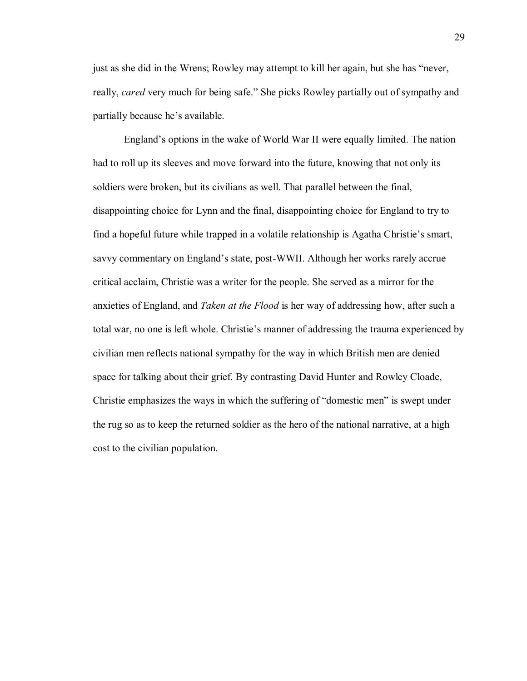just as she did in the Wrens; Rowley may attempt to kill her again, but she has "never, really, *cared* very much for being safe." She picks Rowley partially out of sympathy and partially because he's available.

England's options in the wake of World War II were equally limited. The nation had to roll up its sleeves and move forward into the future, knowing that not only its soldiers were broken, but its civilians as well. That parallel between the final, disappointing choice for Lynn and the final, disappointing choice for England to try to find a hopeful future while trapped in a volatile relationship is Agatha Christie's smart, savvy commentary on England's state, post-WWII. Although her works rarely accrue critical acclaim, Christie was a writer for the people. She served as a mirror for the anxieties of England, and *Taken at the Flood* is her way of addressing how, after such a total war, no one is left whole. Christie's manner of addressing the trauma experienced by civilian men reflects national sympathy for the way in which British men are denied space for talking about their grief. By contrasting David Hunter and Rowley Cloade, Christie emphasizes the ways in which the suffering of "domestic men" is swept under the rug so as to keep the returned soldier as the hero of the national narrative, at a high cost to the civilian population.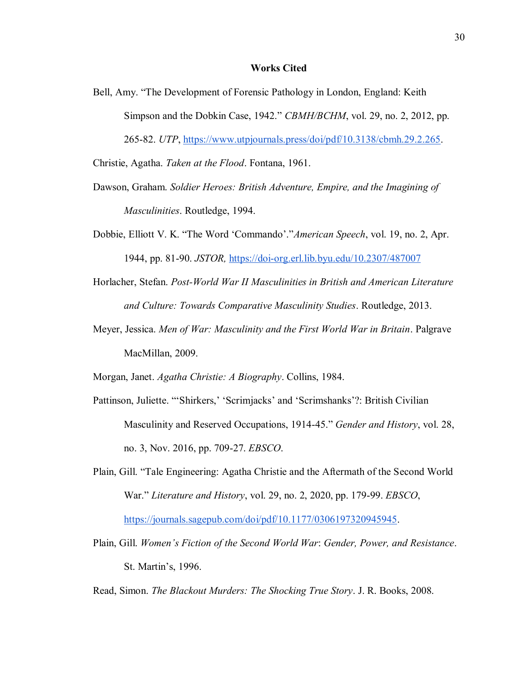### **Works Cited**

Bell, Amy. "The Development of Forensic Pathology in London, England: Keith Simpson and the Dobkin Case, 1942." *CBMH/BCHM*, vol. 29, no. 2, 2012, pp. 265-82. *UTP*, [https://www.utpjournals.press/doi/pdf/10.3138/cbmh.29.2.265.](https://www.utpjournals.press/doi/pdf/10.3138/cbmh.29.2.265)

Christie, Agatha. *Taken at the Flood*. Fontana, 1961.

- Dawson, Graham. *Soldier Heroes: British Adventure, Empire, and the Imagining of Masculinities*. Routledge, 1994.
- Dobbie, Elliott V. K. "The Word 'Commando'."*American Speech*, vol. 19, no. 2, Apr. 1944, pp. 81-90. *JSTOR,* <https://doi-org.erl.lib.byu.edu/10.2307/487007>
- Horlacher, Stefan. *Post-World War II Masculinities in British and American Literature and Culture: Towards Comparative Masculinity Studies*. Routledge, 2013.
- Meyer, Jessica. *Men of War: Masculinity and the First World War in Britain*. Palgrave MacMillan, 2009.

Morgan, Janet. *Agatha Christie: A Biography*. Collins, 1984.

- Pattinson, Juliette. "'Shirkers,' 'Scrimjacks' and 'Scrimshanks'?: British Civilian Masculinity and Reserved Occupations, 1914-45." *Gender and History*, vol. 28, no. 3, Nov. 2016, pp. 709-27. *EBSCO*.
- Plain, Gill. "Tale Engineering: Agatha Christie and the Aftermath of the Second World War." *Literature and History*, vol. 29, no. 2, 2020, pp. 179-99. *EBSCO*, [https://journals.sagepub.com/doi/pdf/10.1177/0306197320945945.](https://journals.sagepub.com/doi/pdf/10.1177/0306197320945945)
- Plain, Gill. *Women's Fiction of the Second World War*: *Gender, Power, and Resistance*. St. Martin's, 1996.

Read, Simon. *The Blackout Murders: The Shocking True Story*. J. R. Books, 2008.